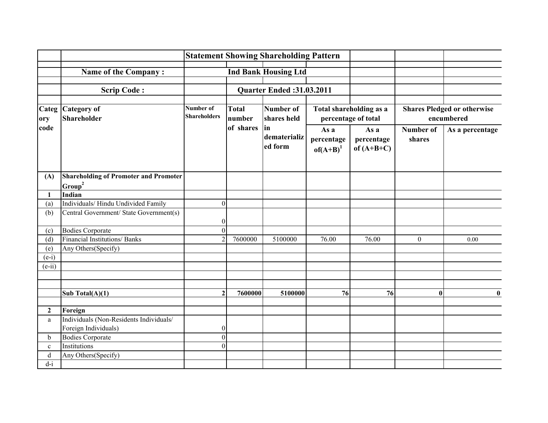|                  |                                              |                                  |                        | <b>Statement Showing Shareholding Pattern</b> |                                                |                                    |                                                  |                 |
|------------------|----------------------------------------------|----------------------------------|------------------------|-----------------------------------------------|------------------------------------------------|------------------------------------|--------------------------------------------------|-----------------|
|                  | Name of the Company:                         |                                  |                        | <b>Ind Bank Housing Ltd</b>                   |                                                |                                    |                                                  |                 |
|                  |                                              |                                  |                        |                                               |                                                |                                    |                                                  |                 |
|                  | <b>Scrip Code:</b>                           |                                  |                        | <b>Quarter Ended:31.03.2011</b>               |                                                |                                    |                                                  |                 |
|                  |                                              |                                  |                        |                                               |                                                |                                    |                                                  |                 |
| ory              | Categ Category of<br>Shareholder             | Number of<br><b>Shareholders</b> | <b>Total</b><br>number | Number of<br>shares held                      | Total shareholding as a<br>percentage of total |                                    | <b>Shares Pledged or otherwise</b><br>encumbered |                 |
| code             |                                              |                                  | of shares              | lin<br>dematerializ<br>ed form                | As a<br>percentage<br>$of(A+B)^1$              | As a<br>percentage<br>of $(A+B+C)$ | Number of<br>shares                              | As a percentage |
| (A)              | <b>Shareholding of Promoter and Promoter</b> |                                  |                        |                                               |                                                |                                    |                                                  |                 |
|                  | Group <sup>2</sup>                           |                                  |                        |                                               |                                                |                                    |                                                  |                 |
| 1                | Indian                                       |                                  |                        |                                               |                                                |                                    |                                                  |                 |
| (a)              | Individuals/Hindu Undivided Family           | $\theta$                         |                        |                                               |                                                |                                    |                                                  |                 |
| (b)              | Central Government/ State Government(s)      | $\overline{0}$                   |                        |                                               |                                                |                                    |                                                  |                 |
| (c)              | <b>Bodies Corporate</b>                      | $\Omega$                         |                        |                                               |                                                |                                    |                                                  |                 |
| (d)              | <b>Financial Institutions/ Banks</b>         |                                  | 7600000                | 5100000                                       | 76.00                                          | 76.00                              | $\mathbf{0}$                                     | 0.00            |
| (e)              | Any Others(Specify)                          |                                  |                        |                                               |                                                |                                    |                                                  |                 |
| $(e-i)$          |                                              |                                  |                        |                                               |                                                |                                    |                                                  |                 |
| $(e-ii)$         |                                              |                                  |                        |                                               |                                                |                                    |                                                  |                 |
|                  |                                              |                                  |                        |                                               |                                                |                                    |                                                  |                 |
|                  |                                              |                                  |                        |                                               |                                                |                                    |                                                  |                 |
|                  | Sub Total $(A)(1)$                           |                                  | 7600000                | 5100000                                       | 76                                             | 76                                 | $\mathbf{0}$                                     | $\bf{0}$        |
|                  |                                              |                                  |                        |                                               |                                                |                                    |                                                  |                 |
| $\boldsymbol{2}$ | Foreign                                      |                                  |                        |                                               |                                                |                                    |                                                  |                 |
| a                | Individuals (Non-Residents Individuals/      |                                  |                        |                                               |                                                |                                    |                                                  |                 |
|                  | Foreign Individuals)                         | $\overline{0}$                   |                        |                                               |                                                |                                    |                                                  |                 |
| $\mathbf b$      | <b>Bodies Corporate</b>                      | $\overline{0}$                   |                        |                                               |                                                |                                    |                                                  |                 |
| $\mathbf{c}$     | Institutions                                 | $\Omega$                         |                        |                                               |                                                |                                    |                                                  |                 |
| d                | Any Others(Specify)                          |                                  |                        |                                               |                                                |                                    |                                                  |                 |
| $d-i$            |                                              |                                  |                        |                                               |                                                |                                    |                                                  |                 |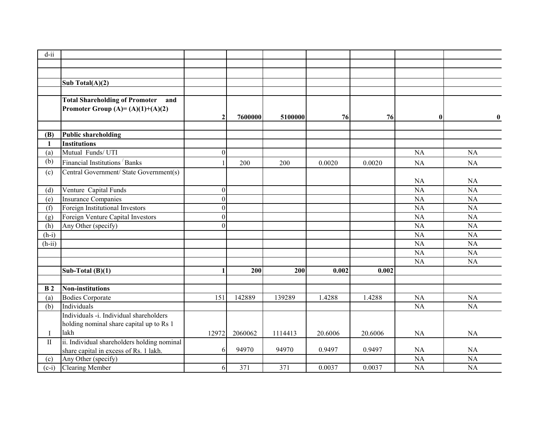| $d$ -ii        |                                              |              |         |         |         |         |                 |                 |
|----------------|----------------------------------------------|--------------|---------|---------|---------|---------|-----------------|-----------------|
|                |                                              |              |         |         |         |         |                 |                 |
|                |                                              |              |         |         |         |         |                 |                 |
|                | Sub Total $(A)(2)$                           |              |         |         |         |         |                 |                 |
|                |                                              |              |         |         |         |         |                 |                 |
|                | <b>Total Shareholding of Promoter</b><br>and |              |         |         |         |         |                 |                 |
|                | Promoter Group (A)= $(A)(1)+(A)(2)$          |              |         |         |         |         |                 |                 |
|                |                                              |              | 7600000 | 5100000 | 76      | 76      | $\mathbf{0}$    | $\bf{0}$        |
|                |                                              |              |         |         |         |         |                 |                 |
| (B)            | <b>Public shareholding</b>                   |              |         |         |         |         |                 |                 |
| 1              | <b>Institutions</b>                          |              |         |         |         |         |                 |                 |
| (a)            | Mutual Funds/UTI                             | $\mathbf{0}$ |         |         |         |         | <b>NA</b>       | NA              |
| (b)            | Financial Institutions <sup>/</sup> Banks    |              | 200     | 200     | 0.0020  | 0.0020  | <b>NA</b>       | NA              |
| (c)            | Central Government/ State Government(s)      |              |         |         |         |         |                 |                 |
|                |                                              |              |         |         |         |         | <b>NA</b>       | <b>NA</b>       |
| (d)            | Venture Capital Funds                        | $\theta$     |         |         |         |         | <b>NA</b>       | <b>NA</b>       |
| (e)            | <b>Insurance Companies</b>                   | $\Omega$     |         |         |         |         | $\overline{NA}$ | NA              |
| (f)            | Foreign Institutional Investors              | $\theta$     |         |         |         |         | NA              | NA              |
| (g)            | Foreign Venture Capital Investors            | $\Omega$     |         |         |         |         | $\overline{NA}$ | $\overline{NA}$ |
| (h)            | Any Other (specify)                          | $\Omega$     |         |         |         |         | <b>NA</b>       | <b>NA</b>       |
| $(h-i)$        |                                              |              |         |         |         |         | <b>NA</b>       | <b>NA</b>       |
| $(h-ii)$       |                                              |              |         |         |         |         | $\overline{NA}$ | $\overline{NA}$ |
|                |                                              |              |         |         |         |         | <b>NA</b>       | <b>NA</b>       |
|                |                                              |              |         |         |         |         | <b>NA</b>       | <b>NA</b>       |
|                | Sub-Total $(B)(1)$                           |              | 200     | 200     | 0.002   | 0.002   |                 |                 |
|                |                                              |              |         |         |         |         |                 |                 |
| B <sub>2</sub> | Non-institutions                             |              |         |         |         |         |                 |                 |
| (a)            | <b>Bodies Corporate</b>                      | 151          | 142889  | 139289  | 1.4288  | 1.4288  | NA              | NA              |
| (b)            | Individuals                                  |              |         |         |         |         | <b>NA</b>       | NA              |
|                | Individuals -i. Individual shareholders      |              |         |         |         |         |                 |                 |
|                | holding nominal share capital up to Rs 1     |              |         |         |         |         |                 |                 |
| $\bf{I}$       | lakh                                         | 12972        | 2060062 | 1114413 | 20.6006 | 20.6006 | <b>NA</b>       | NA              |
| $\mathbf{I}$   | ii. Individual shareholders holding nominal  |              |         |         |         |         |                 |                 |
|                | share capital in excess of Rs. 1 lakh.       | 6            | 94970   | 94970   | 0.9497  | 0.9497  | <b>NA</b>       | <b>NA</b>       |
| (c)            | Any Other (specify)                          |              |         |         |         |         | <b>NA</b>       | <b>NA</b>       |
| $(c-i)$        | <b>Clearing Member</b>                       | 6            | 371     | 371     | 0.0037  | 0.0037  | NA              | <b>NA</b>       |